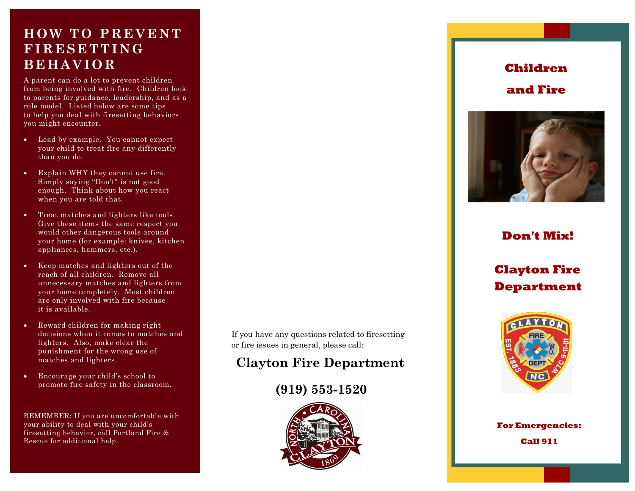## **HOW TO PREVENTFIRESETTINGBEH AVIOR**

A parent can do a lot to prevent children from being involved with fire. Children look to parents for guidance, leadership, and as a role model. Listed below are some tips to help you deal with firesetting behaviors you might encounter**.** 

- $\bullet$  Lead by example. You cannot expect your child to treat fire any differently than you do.
- $\bullet$  Explain WHY they cannot use fire. Simply saying "Don't" is not good enough. Think about how you react when you are told that.
- $\bullet$  Treat matches and lighters like tools. Give these items the same respect you would other dangerous tools around your home (for example: knives, kitchen appliances, hammers, etc.).
- $\bullet$  Keep matches and lighters out of the reach of all children. Remove all unnecessary matches and lighters from your home completely. Most children are only involved with fire because it is available.
- $\bullet$  Reward children for making right decisions when it comes to matches and lighters. Also, make clear the punishment for the wrong use of matches and lighters.
- $\bullet$  Encourage your child's school to promote fire safety in the classroom.

REMEMBER: If you are uncomfortable with your ability to deal with your child's firesetting behavior, call Portland Fire & Rescue for additional help.

If you have any questions related to firesetting or fire issues in general, please call:

## **Clayton Fire Department**

## **(919) 553-1520**



## **Children and Fire**



## **Don't Mix!**

## **Clayton Fire Department**



*Always Ready,*  **For Emergencies:** *Always There*  **Call 911** *(503) 823-3700*